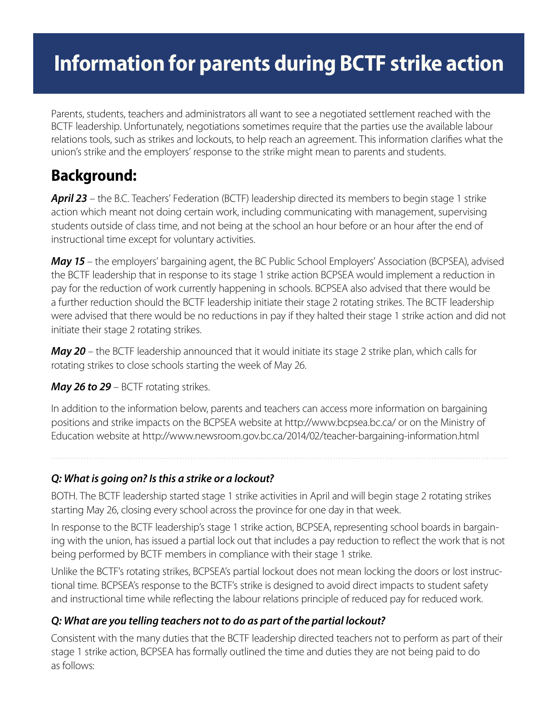# **Information for parents during BCTF strike action**

Parents, students, teachers and administrators all want to see a negotiated settlement reached with the BCTF leadership. Unfortunately, negotiations sometimes require that the parties use the available labour relations tools, such as strikes and lockouts, to help reach an agreement. This information clarifies what the union's strike and the employers' response to the strike might mean to parents and students.

# **Background:**

**April 23** – the B.C. Teachers' Federation (BCTF) leadership directed its members to begin stage 1 strike action which meant not doing certain work, including communicating with management, supervising students outside of class time, and not being at the school an hour before or an hour after the end of instructional time except for voluntary activities.

*May 15* – the employers' bargaining agent, the BC Public School Employers' Association (BCPSEA), advised the BCTF leadership that in response to its stage 1 strike action BCPSEA would implement a reduction in pay for the reduction of work currently happening in schools. BCPSEA also advised that there would be a further reduction should the BCTF leadership initiate their stage 2 rotating strikes. The BCTF leadership were advised that there would be no reductions in pay if they halted their stage 1 strike action and did not initiate their stage 2 rotating strikes.

*May 20* – the BCTF leadership announced that it would initiate its stage 2 strike plan, which calls for rotating strikes to close schools starting the week of May 26.

# *May 26 to 29 – BCTF rotating strikes.*

In addition to the information below, parents and teachers can access more information on bargaining positions and strike impacts on the BCPSEA website at http://www.bcpsea.bc.ca/ or on the Ministry of Education website at http://www.newsroom.gov.bc.ca/2014/02/teacher-bargaining-information.html

# *Q: What is going on? Is this a strike or a lockout?*

BOTH. The BCTF leadership started stage 1 strike activities in April and will begin stage 2 rotating strikes starting May 26, closing every school across the province for one day in that week.

In response to the BCTF leadership's stage 1 strike action, BCPSEA, representing school boards in bargaining with the union, has issued a partial lock out that includes a pay reduction to reflect the work that is not being performed by BCTF members in compliance with their stage 1 strike.

Unlike the BCTF's rotating strikes, BCPSEA's partial lockout does not mean locking the doors or lost instructional time. BCPSEA's response to the BCTF's strike is designed to avoid direct impacts to student safety and instructional time while reflecting the labour relations principle of reduced pay for reduced work.

# *Q: What are you telling teachers not to do as part of the partial lockout?*

Consistent with the many duties that the BCTF leadership directed teachers not to perform as part of their stage 1 strike action, BCPSEA has formally outlined the time and duties they are not being paid to do as follows: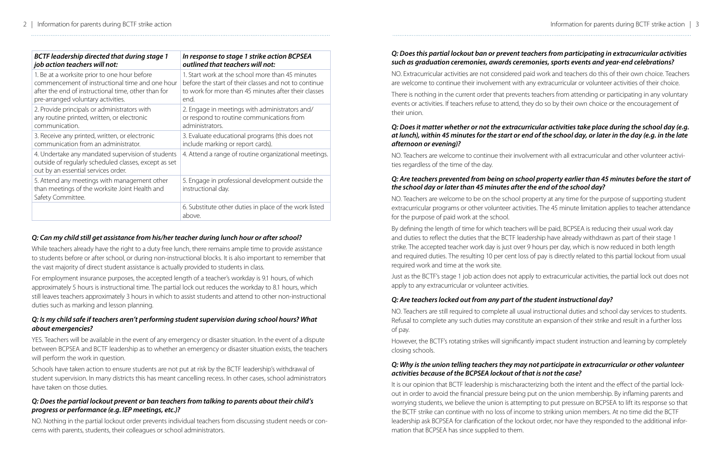# *Q: Can my child still get assistance from his/her teacher during lunch hour or after school?*

While teachers already have the right to a duty free lunch, there remains ample time to provide assistance to students before or after school, or during non-instructional blocks. It is also important to remember that the vast majority of direct student assistance is actually provided to students in class.

For employment insurance purposes, the accepted length of a teacher's workday is 9.1 hours, of which approximately 5 hours is instructional time. The partial lock out reduces the workday to 8.1 hours, which still leaves teachers approximately 3 hours in which to assist students and attend to other non-instructional duties such as marking and lesson planning.

#### *Q: Is my child safe if teachers aren't performing student supervision during school hours? What about emergencies?*

YES. Teachers will be available in the event of any emergency or disaster situation. In the event of a dispute between BCPSEA and BCTF leadership as to whether an emergency or disaster situation exists, the teachers will perform the work in question.

Schools have taken action to ensure students are not put at risk by the BCTF leadership's withdrawal of student supervision. In many districts this has meant cancelling recess. In other cases, school administrators have taken on those duties.

#### *Q: Does the partial lockout prevent or ban teachers from talking to parents about their child's progress or performance (e.g. IEP meetings, etc.)?*

NO. Nothing in the partial lockout order prevents individual teachers from discussing student needs or concerns with parents, students, their colleagues or school administrators.

#### *Q: Does this partial lockout ban or prevent teachers from participating in extracurricular activities such as graduation ceremonies, awards ceremonies, sports events and year-end celebrations?*

NO. Extracurricular activities are not considered paid work and teachers do this of their own choice. Teachers are welcome to continue their involvement with any extracurricular or volunteer activities of their choice.

There is nothing in the current order that prevents teachers from attending or participating in any voluntary events or activities. If teachers refuse to attend, they do so by their own choice or the encouragement of their union.

#### *Q: Does it matter whether or not the extracurricular activities take place during the school day (e.g. at lunch), within 45 minutes for the start or end of the school day, or later in the day (e.g. in the late afternoon or evening)?*

NO. Teachers are welcome to continue their involvement with all extracurricular and other volunteer activities regardless of the time of the day.

#### *Q: Are teachers prevented from being on school property earlier than 45 minutes before the start of the school day or later than 45 minutes after the end of the school day?*

NO. Teachers are welcome to be on the school property at any time for the purpose of supporting student extracurricular programs or other volunteer activities. The 45 minute limitation applies to teacher attendance for the purpose of paid work at the school.

By defining the length of time for which teachers will be paid, BCPSEA is reducing their usual work day and duties to reflect the duties that the BCTF leadership have already withdrawn as part of their stage 1 strike. The accepted teacher work day is just over 9 hours per day, which is now reduced in both length and required duties. The resulting 10 per cent loss of pay is directly related to this partial lockout from usual required work and time at the work site.

Just as the BCTF's stage 1 job action does not apply to extracurricular activities, the partial lock out does not apply to any extracurricular or volunteer activities.

# *Q: Are teachers locked out from any part of the student instructional day?*

NO. Teachers are still required to complete all usual instructional duties and school day services to students. Refusal to complete any such duties may constitute an expansion of their strike and result in a further loss of pay.

However, the BCTF's rotating strikes will significantly impact student instruction and learning by completely closing schools.

#### *Q: Why is the union telling teachers they may not participate in extracurricular or other volunteer activities because of the BCPSEA lockout of that is not the case?*

It is our opinion that BCTF leadership is mischaracterizing both the intent and the effect of the partial lockout in order to avoid the financial pressure being put on the union membership. By inflaming parents and worrying students, we believe the union is attempting to put pressure on BCPSEA to lift its response so that the BCTF strike can continue with no loss of income to striking union members. At no time did the BCTF leadership ask BCPSEA for clarification of the lockout order, nor have they responded to the additional information that BCPSEA has since supplied to them.

| <b>BCTF leadership directed that during stage 1</b>                                                                                               | In response to stage 1 strike action BCPSEA                             |
|---------------------------------------------------------------------------------------------------------------------------------------------------|-------------------------------------------------------------------------|
| job action teachers will not:                                                                                                                     | outlined that teachers will not:                                        |
| 1. Be at a worksite prior to one hour before                                                                                                      | 1. Start work at the school more than 45 minutes                        |
| commencement of instructional time and one hour                                                                                                   | before the start of their classes and not to continue                   |
| after the end of instructional time, other than for                                                                                               | to work for more than 45 minutes after their classes                    |
| pre-arranged voluntary activities.                                                                                                                | end.                                                                    |
| 2. Provide principals or administrators with                                                                                                      | 2. Engage in meetings with administrators and/                          |
| any routine printed, written, or electronic                                                                                                       | or respond to routine communications from                               |
| communication.                                                                                                                                    | administrators.                                                         |
| 3. Receive any printed, written, or electronic                                                                                                    | 3. Evaluate educational programs (this does not                         |
| communication from an administrator.                                                                                                              | include marking or report cards).                                       |
| 4. Undertake any mandated supervision of students<br>outside of regularly scheduled classes, except as set<br>out by an essential services order. | 4. Attend a range of routine organizational meetings.                   |
| 5. Attend any meetings with management other<br>than meetings of the worksite Joint Health and<br>Safety Committee.                               | 5. Engage in professional development outside the<br>instructional day. |
|                                                                                                                                                   | 6. Substitute other duties in place of the work listed<br>above.        |